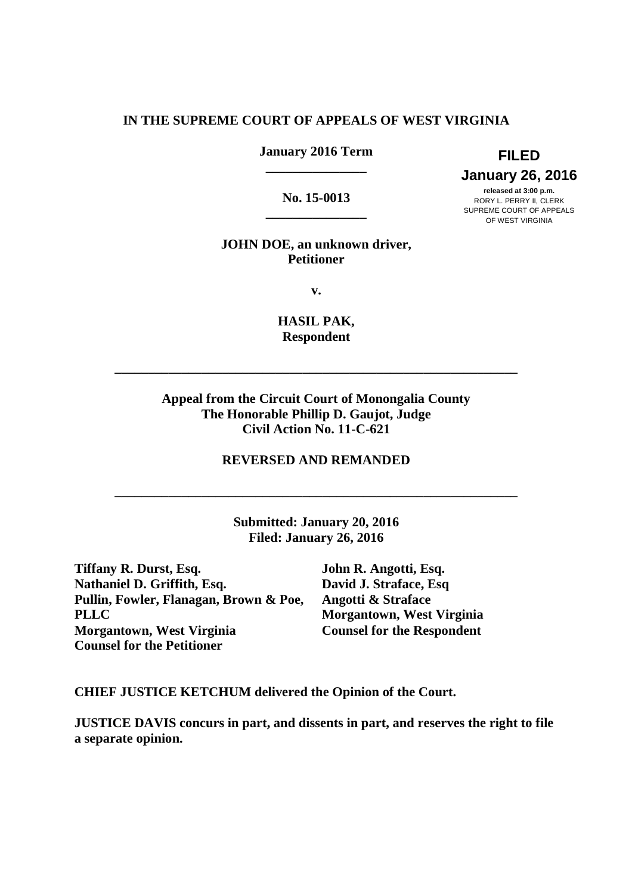### **IN THE SUPREME COURT OF APPEALS OF WEST VIRGINIA**

 **January 2016 Term FILED \_\_\_\_\_\_\_\_\_\_\_\_\_\_\_** 

No. 15-0013 **\_\_\_\_\_\_\_\_\_\_\_\_\_\_\_**   **January 26, 2016** 

released at 3:00 p.m. **released at 3:00 p.m. No. 15-0013** RORY L. PERRY II, CLERK SUPREME COURT OF APPEALS OF WEST VIRGINIA

### **JOHN DOE, an unknown driver, Petitioner**

**v.** 

 **HASIL PAK, Respondent** 

**\_\_\_\_\_\_\_\_\_\_\_\_\_\_\_\_\_\_\_\_\_\_\_\_\_\_\_\_\_\_\_\_\_\_\_\_\_\_\_\_\_\_\_\_\_\_\_\_\_\_\_\_\_\_\_\_\_\_\_\_** 

# **Appeal from the Circuit Court of Monongalia County The Honorable Phillip D. Gaujot, Judge Civil Action No. 11-C-621**

### **REVERSED AND REMANDED**

**\_\_\_\_\_\_\_\_\_\_\_\_\_\_\_\_\_\_\_\_\_\_\_\_\_\_\_\_\_\_\_\_\_\_\_\_\_\_\_\_\_\_\_\_\_\_\_\_\_\_\_\_\_\_\_\_\_\_\_\_** 

 **Submitted: January 20, 2016 Filed: January 26, 2016** 

 **Tiffany R. Durst, Esq. John R. Angotti, Esq. Nathaniel D. Griffith, Esq. David J. Straface, Esq Pullin, Fowler, Flanagan, Brown & Poe, Angotti & Straface Morgantown, West Virginia Counsel for the Respondent Counsel for the Petitioner PLLC** Morgantown, West Virginia

John R. Angotti, Esq. David J. Straface, Esq **Angotti & Straface Counsel for the Respondent** 

 **CHIEF JUSTICE KETCHUM delivered the Opinion of the Court.** 

 **JUSTICE DAVIS concurs in part, and dissents in part, and reserves the right to file a separate opinion.**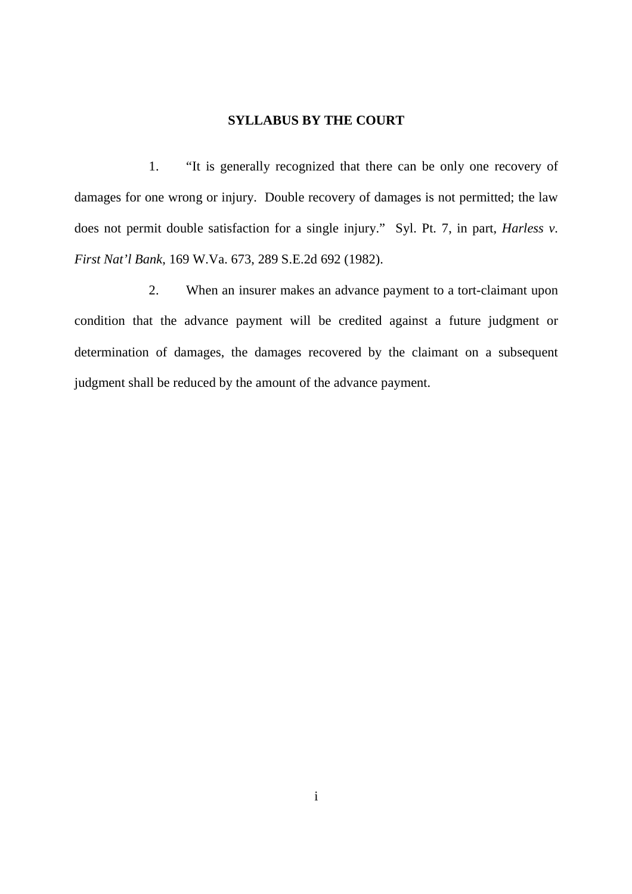### **SYLLABUS BY THE COURT**

 $1.$  damages for one wrong or injury. Double recovery of damages is not permitted; the law does not permit double satisfaction for a single injury." Syl. Pt. 7, in part, *Harless v. First Nat'l Bank*, 169 W.Va. 673, 289 S.E.2d 692 (1982). "It is generally recognized that there can be only one recovery of

 $2.$  condition that the advance payment will be credited against a future judgment or determination of damages, the damages recovered by the claimant on a subsequent judgment shall be reduced by the amount of the advance payment. When an insurer makes an advance payment to a tort-claimant upon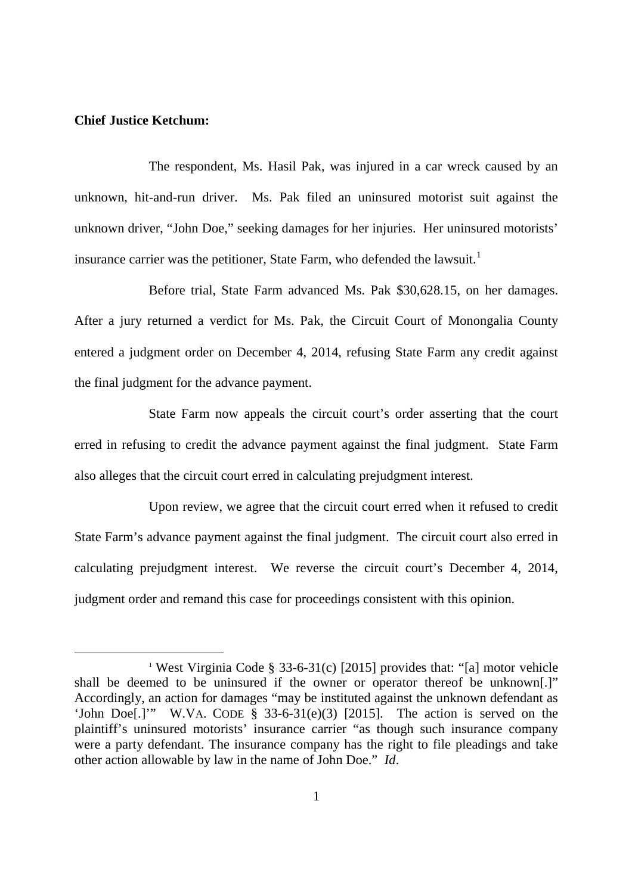### **Chief Justice Ketchum:**

-

 The respondent, Ms. Hasil Pak, was injured in a car wreck caused by an unknown, hit-and-run driver. Ms. Pak filed an uninsured motorist suit against the unknown driver, "John Doe," seeking damages for her injuries. Her uninsured motorists' insurance carrier was the petitioner, State Farm, who defended the lawsuit.<sup>1</sup>

 Before trial, State Farm advanced Ms. Pak \$30,628.15, on her damages. After a jury returned a verdict for Ms. Pak, the Circuit Court of Monongalia County entered a judgment order on December 4, 2014, refusing State Farm any credit against the final judgment for the advance payment.

 State Farm now appeals the circuit court's order asserting that the court erred in refusing to credit the advance payment against the final judgment. State Farm also alleges that the circuit court erred in calculating prejudgment interest.

 Upon review, we agree that the circuit court erred when it refused to credit State Farm's advance payment against the final judgment. The circuit court also erred in calculating prejudgment interest. We reverse the circuit court's December 4, 2014, judgment order and remand this case for proceedings consistent with this opinion.

<sup>&</sup>lt;sup>1</sup> West Virginia Code § 33-6-31(c) [2015] provides that: "[a] motor vehicle shall be deemed to be uninsured if the owner or operator thereof be unknown[.]" Accordingly, an action for damages "may be instituted against the unknown defendant as 'John Doe[.]'" W.VA. CODE § 33-6-31(e)(3) [2015]. The action is served on the plaintiff's uninsured motorists' insurance carrier "as though such insurance company were a party defendant. The insurance company has the right to file pleadings and take other action allowable by law in the name of John Doe." *Id*.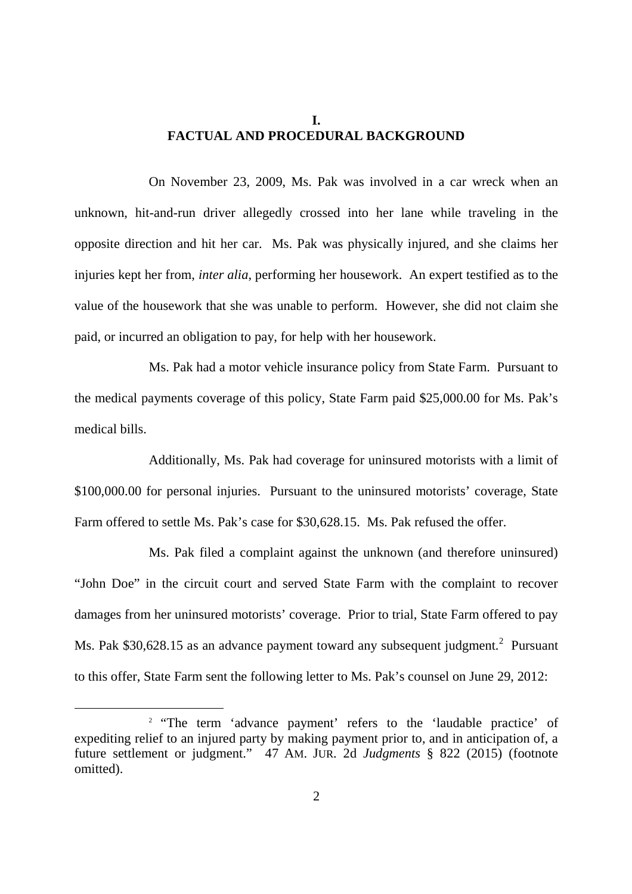### **FACTUAL AND PROCEDURAL BACKGROUND I.**

 On November 23, 2009, Ms. Pak was involved in a car wreck when an unknown, hit-and-run driver allegedly crossed into her lane while traveling in the opposite direction and hit her car. Ms. Pak was physically injured, and she claims her injuries kept her from, *inter alia*, performing her housework. An expert testified as to the value of the housework that she was unable to perform. However, she did not claim she paid, or incurred an obligation to pay, for help with her housework.

 Ms. Pak had a motor vehicle insurance policy from State Farm. Pursuant to the medical payments coverage of this policy, State Farm paid \$25,000.00 for Ms. Pak's medical bills.

 Additionally, Ms. Pak had coverage for uninsured motorists with a limit of \$100,000.00 for personal injuries. Pursuant to the uninsured motorists' coverage, State Farm offered to settle Ms. Pak's case for \$30,628.15. Ms. Pak refused the offer.

 Ms. Pak filed a complaint against the unknown (and therefore uninsured) "John Doe" in the circuit court and served State Farm with the complaint to recover damages from her uninsured motorists' coverage. Prior to trial, State Farm offered to pay Ms. Pak \$30,628.15 as an advance payment toward any subsequent judgment.<sup>2</sup> Pursuant to this offer, State Farm sent the following letter to Ms. Pak's counsel on June 29, 2012:

<sup>&</sup>lt;sup>2</sup> "The term 'advance payment' refers to the 'laudable practice' of expediting relief to an injured party by making payment prior to, and in anticipation of, a future settlement or judgment." 47 AM. JUR. 2d *Judgments* § 822 (2015) (footnote omitted). omitted).<br>2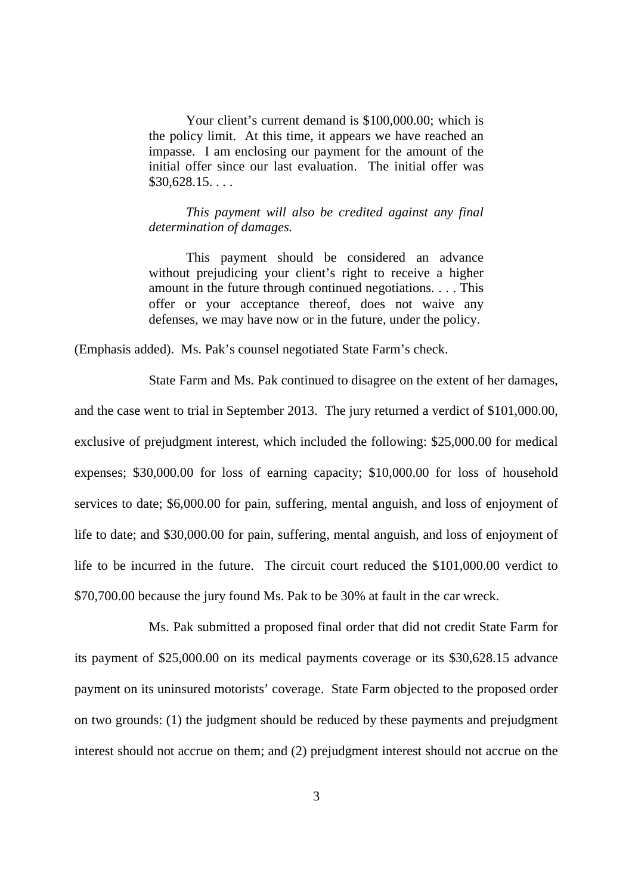Your client's current demand is \$100,000.00; which is the policy limit. At this time, it appears we have reached an impasse. I am enclosing our payment for the amount of the initial offer since our last evaluation. The initial offer was  $$30,628.15...$ 

 *This payment will also be credited against any final determination of damages.* 

 This payment should be considered an advance without prejudicing your client's right to receive a higher amount in the future through continued negotiations. . . . This offer or your acceptance thereof, does not waive any defenses, we may have now or in the future, under the policy.

(Emphasis added). Ms. Pak's counsel negotiated State Farm's check.

 State Farm and Ms. Pak continued to disagree on the extent of her damages, and the case went to trial in September 2013. The jury returned a verdict of \$101,000.00, exclusive of prejudgment interest, which included the following: \$25,000.00 for medical expenses; \$30,000.00 for loss of earning capacity; \$10,000.00 for loss of household services to date; \$6,000.00 for pain, suffering, mental anguish, and loss of enjoyment of life to date; and \$30,000.00 for pain, suffering, mental anguish, and loss of enjoyment of life to be incurred in the future. The circuit court reduced the \$101,000.00 verdict to \$70,700.00 because the jury found Ms. Pak to be 30% at fault in the car wreck.

 Ms. Pak submitted a proposed final order that did not credit State Farm for its payment of \$25,000.00 on its medical payments coverage or its \$30,628.15 advance payment on its uninsured motorists' coverage. State Farm objected to the proposed order on two grounds: (1) the judgment should be reduced by these payments and prejudgment interest should not accrue on them; and (2) prejudgment interest should not accrue on the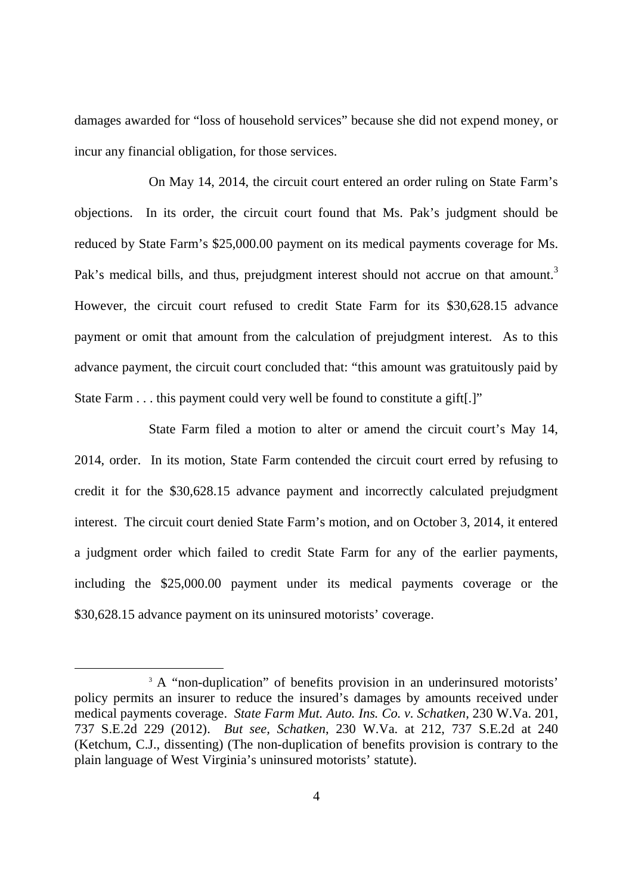damages awarded for "loss of household services" because she did not expend money, or incur any financial obligation, for those services.

 On May 14, 2014, the circuit court entered an order ruling on State Farm's objections. In its order, the circuit court found that Ms. Pak's judgment should be reduced by State Farm's \$25,000.00 payment on its medical payments coverage for Ms. Pak's medical bills, and thus, prejudgment interest should not accrue on that amount.<sup>3</sup> However, the circuit court refused to credit State Farm for its \$30,628.15 advance payment or omit that amount from the calculation of prejudgment interest. As to this advance payment, the circuit court concluded that: "this amount was gratuitously paid by State Farm . . . this payment could very well be found to constitute a gift[.]"

 State Farm filed a motion to alter or amend the circuit court's May 14, 2014, order. In its motion, State Farm contended the circuit court erred by refusing to credit it for the \$30,628.15 advance payment and incorrectly calculated prejudgment interest. The circuit court denied State Farm's motion, and on October 3, 2014, it entered a judgment order which failed to credit State Farm for any of the earlier payments, including the \$25,000.00 payment under its medical payments coverage or the \$30,628.15 advance payment on its uninsured motorists' coverage.

 $\overline{a}$ 

<sup>&</sup>lt;sup>3</sup> A "non-duplication" of benefits provision in an underinsured motorists' policy permits an insurer to reduce the insured's damages by amounts received under medical payments coverage. *State Farm Mut. Auto. Ins. Co. v. Schatken*, 230 W.Va. 201, 737 S.E.2d 229 (2012). *But see, Schatken*, 230 W.Va. at 212, 737 S.E.2d at 240 (Ketchum, C.J., dissenting) (The non-duplication of benefits provision is contrary to the plain language of West Virginia's uninsured motorists' statute).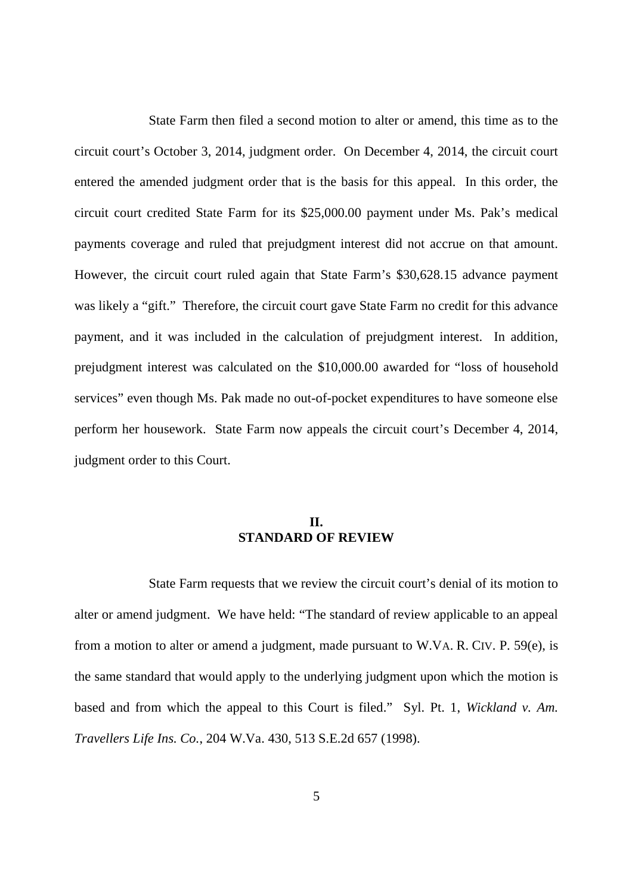State Farm then filed a second motion to alter or amend, this time as to the circuit court's October 3, 2014, judgment order. On December 4, 2014, the circuit court entered the amended judgment order that is the basis for this appeal. In this order, the circuit court credited State Farm for its \$25,000.00 payment under Ms. Pak's medical payments coverage and ruled that prejudgment interest did not accrue on that amount. However, the circuit court ruled again that State Farm's \$30,628.15 advance payment was likely a "gift." Therefore, the circuit court gave State Farm no credit for this advance payment, and it was included in the calculation of prejudgment interest. In addition, prejudgment interest was calculated on the \$10,000.00 awarded for "loss of household services" even though Ms. Pak made no out-of-pocket expenditures to have someone else perform her housework. State Farm now appeals the circuit court's December 4, 2014, judgment order to this Court.

## **STANDARD OF REVIEW II.**

 State Farm requests that we review the circuit court's denial of its motion to alter or amend judgment. We have held: "The standard of review applicable to an appeal from a motion to alter or amend a judgment, made pursuant to W.VA. R. CIV. P. 59(e), is the same standard that would apply to the underlying judgment upon which the motion is based and from which the appeal to this Court is filed." Syl. Pt. 1, *Wickland v. Am. Travellers Life Ins. Co.*, 204 W.Va. 430, 513 S.E.2d 657 (1998).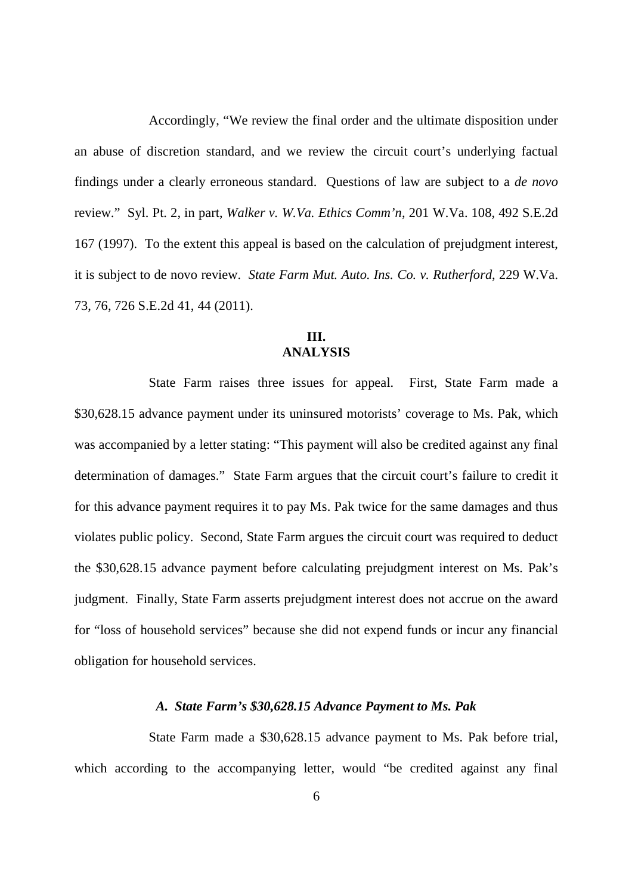Accordingly, "We review the final order and the ultimate disposition under an abuse of discretion standard, and we review the circuit court's underlying factual findings under a clearly erroneous standard. Questions of law are subject to a *de novo*  review." Syl. Pt. 2, in part, *Walker v. W.Va. Ethics Comm'n*, 201 W.Va. 108, 492 S.E.2d 167 (1997). To the extent this appeal is based on the calculation of prejudgment interest, it is subject to de novo review. *State Farm Mut. Auto. Ins. Co. v. Rutherford*, 229 W.Va. 73, 76, 726 S.E.2d 41, 44 (2011).

### **III. ANALYSIS**

 State Farm raises three issues for appeal. First, State Farm made a \$30,628.15 advance payment under its uninsured motorists' coverage to Ms. Pak, which was accompanied by a letter stating: "This payment will also be credited against any final determination of damages." State Farm argues that the circuit court's failure to credit it for this advance payment requires it to pay Ms. Pak twice for the same damages and thus violates public policy. Second, State Farm argues the circuit court was required to deduct the \$30,628.15 advance payment before calculating prejudgment interest on Ms. Pak's judgment. Finally, State Farm asserts prejudgment interest does not accrue on the award for "loss of household services" because she did not expend funds or incur any financial obligation for household services.

### *A. State Farm's \$30,628.15 Advance Payment to Ms. Pak*

 State Farm made a \$30,628.15 advance payment to Ms. Pak before trial, which according to the accompanying letter, would "be credited against any final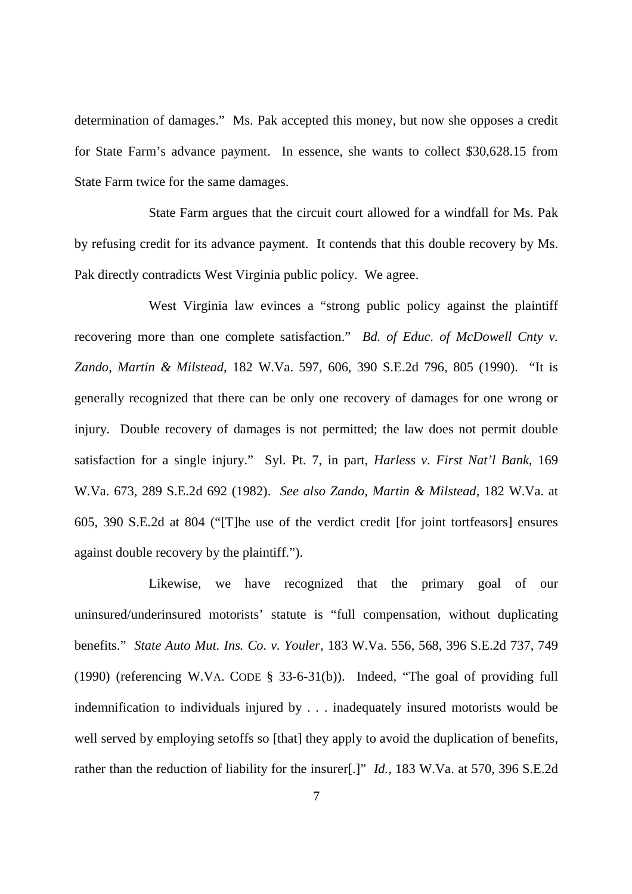determination of damages." Ms. Pak accepted this money, but now she opposes a credit for State Farm's advance payment. In essence, she wants to collect \$30,628.15 from State Farm twice for the same damages.

 State Farm argues that the circuit court allowed for a windfall for Ms. Pak by refusing credit for its advance payment. It contends that this double recovery by Ms. Pak directly contradicts West Virginia public policy. We agree.

 West Virginia law evinces a "strong public policy against the plaintiff recovering more than one complete satisfaction." *Bd. of Educ. of McDowell Cnty v. Zando, Martin & Milstead*, 182 W.Va. 597, 606, 390 S.E.2d 796, 805 (1990). "It is generally recognized that there can be only one recovery of damages for one wrong or injury. Double recovery of damages is not permitted; the law does not permit double satisfaction for a single injury." Syl. Pt. 7, in part, *Harless v. First Nat'l Bank*, 169 W.Va. 673, 289 S.E.2d 692 (1982). *See also Zando, Martin & Milstead*, 182 W.Va. at 605, 390 S.E.2d at 804 ("[T]he use of the verdict credit [for joint tortfeasors] ensures against double recovery by the plaintiff.").

 Likewise, we have recognized that the primary goal of our uninsured/underinsured motorists' statute is "full compensation, without duplicating benefits." *State Auto Mut. Ins. Co. v. Youler*, 183 W.Va. 556, 568, 396 S.E.2d 737, 749 (1990) (referencing W.VA. CODE § 33-6-31(b)). Indeed, "The goal of providing full indemnification to individuals injured by . . . inadequately insured motorists would be well served by employing setoffs so [that] they apply to avoid the duplication of benefits, rather than the reduction of liability for the insurer[.]" *Id.*, 183 W.Va. at 570, 396 S.E.2d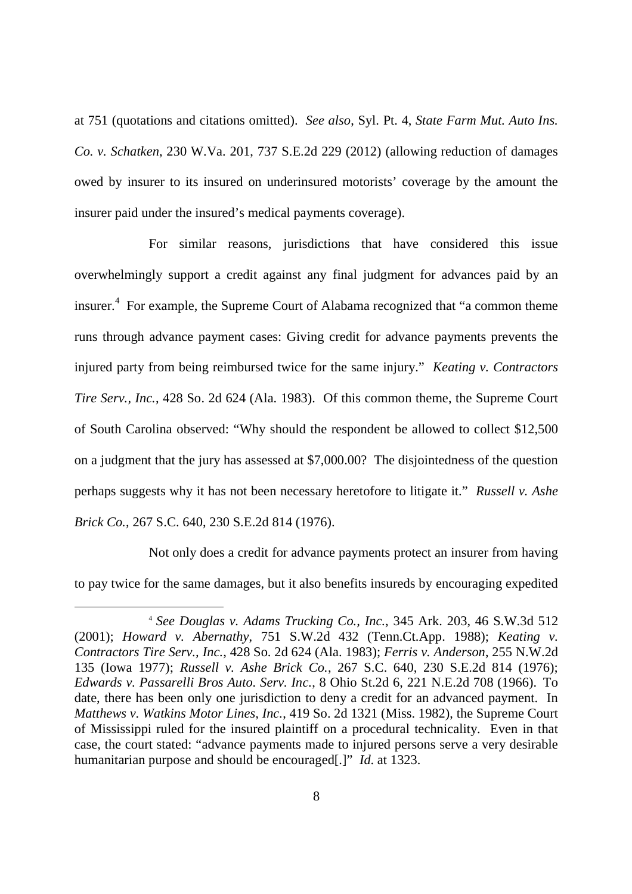at 751 (quotations and citations omitted). *See also*, Syl. Pt. 4, *State Farm Mut. Auto Ins. Co. v. Schatken*, 230 W.Va. 201, 737 S.E.2d 229 (2012) (allowing reduction of damages owed by insurer to its insured on underinsured motorists' coverage by the amount the insurer paid under the insured's medical payments coverage).

 For similar reasons, jurisdictions that have considered this issue overwhelmingly support a credit against any final judgment for advances paid by an insurer.<sup>4</sup> For example, the Supreme Court of Alabama recognized that "a common theme runs through advance payment cases: Giving credit for advance payments prevents the injured party from being reimbursed twice for the same injury." *Keating v. Contractors Tire Serv., Inc.*, 428 So. 2d 624 (Ala. 1983). Of this common theme, the Supreme Court of South Carolina observed: "Why should the respondent be allowed to collect \$12,500 on a judgment that the jury has assessed at \$7,000.00? The disjointedness of the question perhaps suggests why it has not been necessary heretofore to litigate it." *Russell v. Ashe Brick Co.*, 267 S.C. 640, 230 S.E.2d 814 (1976).

 Not only does a credit for advance payments protect an insurer from having to pay twice for the same damages, but it also benefits insureds by encouraging expedited

 <sup>4</sup>*See Douglas v. Adams Trucking Co., Inc.*, 345 Ark. 203, 46 S.W.3d 512  (2001); *Howard v. Abernathy*, 751 S.W.2d 432 (Tenn.Ct.App. 1988); *Keating v. Contractors Tire Serv., Inc.*, 428 So. 2d 624 (Ala. 1983); *Ferris v. Anderson*, 255 N.W.2d 135 (Iowa 1977); *Russell v. Ashe Brick Co.*, 267 S.C. 640, 230 S.E.2d 814 (1976);  *Edwards v. Passarelli Bros Auto. Serv. Inc.*, 8 Ohio St.2d 6, 221 N.E.2d 708 (1966). To date, there has been only one jurisdiction to deny a credit for an advanced payment. In Matthews v. Watkins Motor Lines, Inc., 419 So. 2d 1321 (Miss. 1982), the Supreme Court of Mississippi ruled for the insured plaintiff on a procedural technicality. Even in that case, the court stated: "advance payments made to injured persons serve a very desirable humanitarian purpose and should be encouraged[.]" *Id*. at 1323.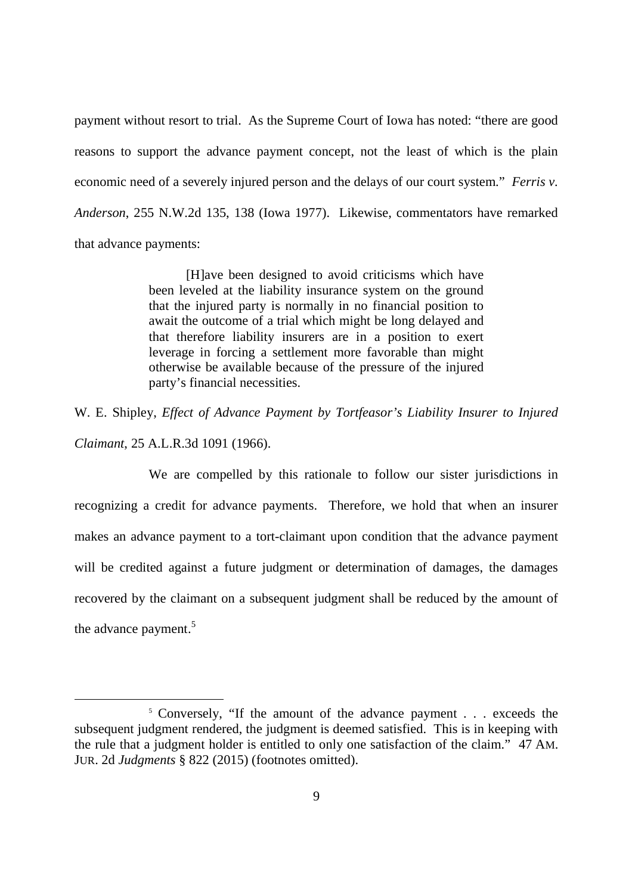payment without resort to trial. As the Supreme Court of Iowa has noted: "there are good reasons to support the advance payment concept, not the least of which is the plain economic need of a severely injured person and the delays of our court system." *Ferris v. Anderson*, 255 N.W.2d 135, 138 (Iowa 1977). Likewise, commentators have remarked that advance payments:

> [H]ave been designed to avoid criticisms which have been leveled at the liability insurance system on the ground that the injured party is normally in no financial position to await the outcome of a trial which might be long delayed and that therefore liability insurers are in a position to exert leverage in forcing a settlement more favorable than might otherwise be available because of the pressure of the injured party's financial necessities.

 W. E. Shipley, *Effect of Advance Payment by Tortfeasor's Liability Insurer to Injured Claimant*, 25 A.L.R.3d 1091 (1966).

 We are compelled by this rationale to follow our sister jurisdictions in recognizing a credit for advance payments. Therefore, we hold that when an insurer makes an advance payment to a tort-claimant upon condition that the advance payment will be credited against a future judgment or determination of damages, the damages recovered by the claimant on a subsequent judgment shall be reduced by the amount of the advance payment.<sup>5</sup>

<sup>&</sup>lt;sup>5</sup> Conversely, "If the amount of the advance payment . . . exceeds the subsequent judgment rendered, the judgment is deemed satisfied. This is in keeping with the rule that a judgment holder is entitled to only one satisfaction of the claim." 47 AM. JUR. 2d *Judgments* § 822 (2015) (footnotes omitted).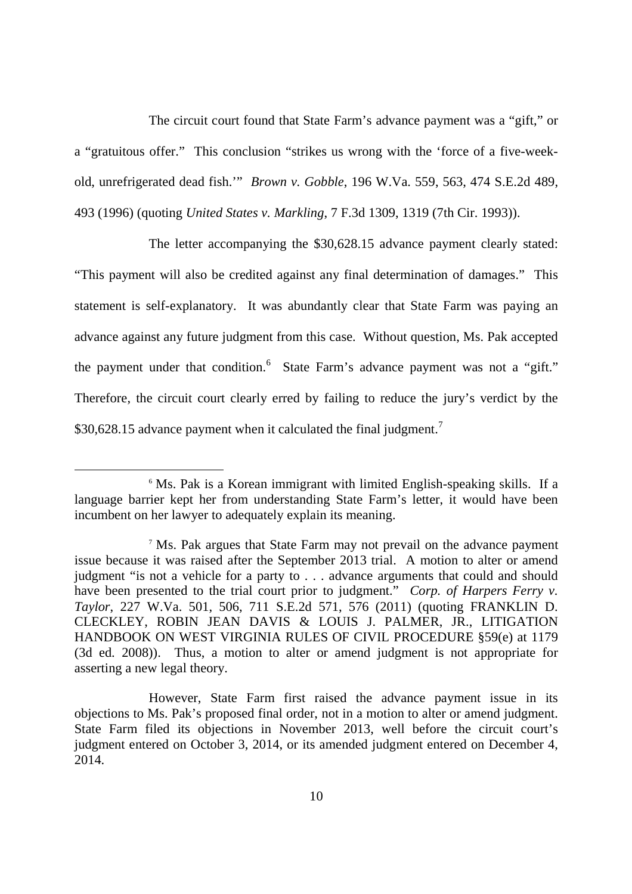The circuit court found that State Farm's advance payment was a "gift," or a "gratuitous offer." This conclusion "strikes us wrong with the 'force of a five-week- old, unrefrigerated dead fish.'" *Brown v. Gobble*, 196 W.Va. 559, 563, 474 S.E.2d 489, 493 (1996) (quoting *United States v. Markling*, 7 F.3d 1309, 1319 (7th Cir. 1993)).

 The letter accompanying the \$30,628.15 advance payment clearly stated: "This payment will also be credited against any final determination of damages." This statement is self-explanatory. It was abundantly clear that State Farm was paying an advance against any future judgment from this case. Without question, Ms. Pak accepted the payment under that condition.<sup>6</sup> State Farm's advance payment was not a "gift." Therefore, the circuit court clearly erred by failing to reduce the jury's verdict by the \$30,628.15 advance payment when it calculated the final judgment.<sup>7</sup>

<sup>&</sup>lt;sup>6</sup> Ms. Pak is a Korean immigrant with limited English-speaking skills. If a language barrier kept her from understanding State Farm's letter, it would have been incumbent on her lawyer to adequately explain its meaning.

<sup>&</sup>lt;sup>7</sup> Ms. Pak argues that State Farm may not prevail on the advance payment issue because it was raised after the September 2013 trial. A motion to alter or amend judgment "is not a vehicle for a party to . . . advance arguments that could and should have been presented to the trial court prior to judgment." *Corp. of Harpers Ferry v. Taylor*, 227 W.Va. 501, 506, 711 S.E.2d 571, 576 (2011) (quoting FRANKLIN D. CLECKLEY, ROBIN JEAN DAVIS & LOUIS J. PALMER, JR., LITIGATION HANDBOOK ON WEST VIRGINIA RULES OF CIVIL PROCEDURE §59(e) at 1179 (3d ed. 2008)). Thus, a motion to alter or amend judgment is not appropriate for asserting a new legal theory.

 However, State Farm first raised the advance payment issue in its objections to Ms. Pak's proposed final order, not in a motion to alter or amend judgment. State Farm filed its objections in November 2013, well before the circuit court's judgment entered on October 3, 2014, or its amended judgment entered on December 4, 2014. 2014. 10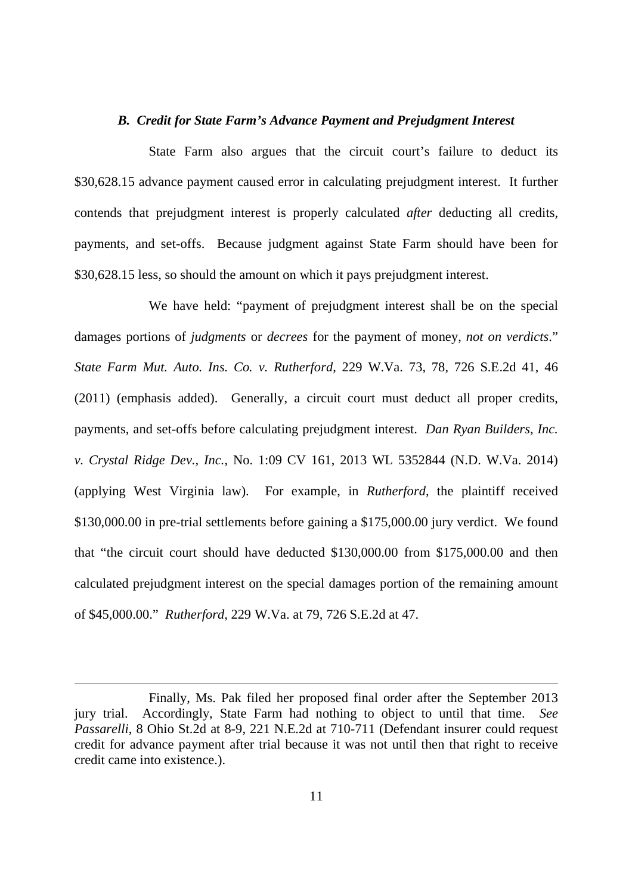### *B. Credit for State Farm's Advance Payment and Prejudgment Interest*

 State Farm also argues that the circuit court's failure to deduct its \$30,628.15 advance payment caused error in calculating prejudgment interest. It further contends that prejudgment interest is properly calculated *after* deducting all credits, payments, and set-offs. Because judgment against State Farm should have been for \$30,628.15 less, so should the amount on which it pays prejudgment interest.

 We have held: "payment of prejudgment interest shall be on the special damages portions of *judgments* or *decrees* for the payment of money, *not on verdicts*."  *State Farm Mut. Auto. Ins. Co. v. Rutherford*, 229 W.Va. 73, 78, 726 S.E.2d 41, 46 (2011) (emphasis added). Generally, a circuit court must deduct all proper credits, payments, and set-offs before calculating prejudgment interest. *Dan Ryan Builders, Inc. v. Crystal Ridge Dev., Inc.*, No. 1:09 CV 161, 2013 WL 5352844 (N.D. W.Va. 2014) (applying West Virginia law). For example, in *Rutherford*, the plaintiff received \$130,000.00 in pre-trial settlements before gaining a \$175,000.00 jury verdict. We found that "the circuit court should have deducted \$130,000.00 from \$175,000.00 and then calculated prejudgment interest on the special damages portion of the remaining amount of \$45,000.00." *Rutherford*, 229 W.Va. at 79, 726 S.E.2d at 47.

 Finally, Ms. Pak filed her proposed final order after the September 2013 jury trial. *Passarelli*, 8 Ohio St.2d at 8-9, 221 N.E.2d at 710-711 (Defendant insurer could request credit for advance payment after trial because it was not until then that right to receive credit came into existence.). Accordingly, State Farm had nothing to object to until that time. See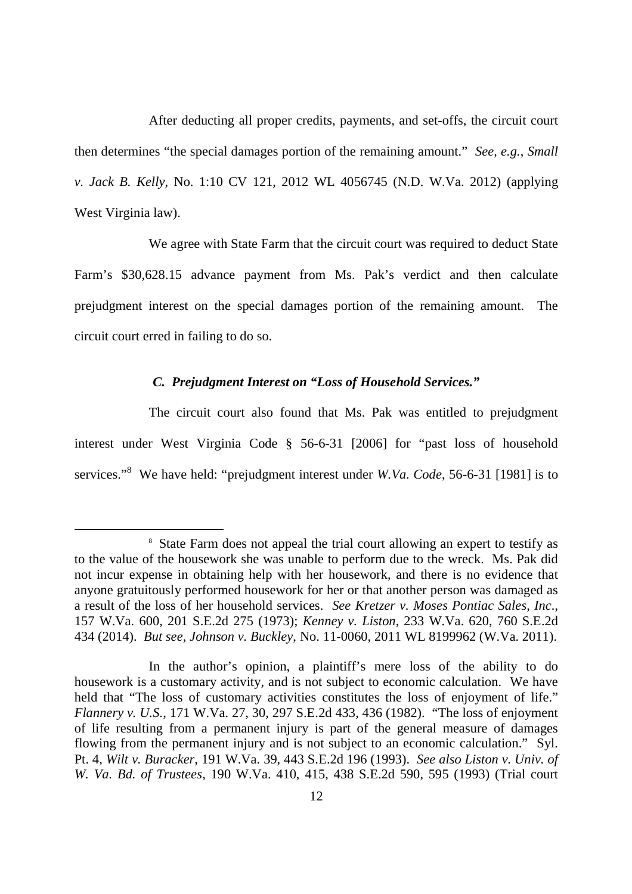After deducting all proper credits, payments, and set-offs, the circuit court then determines "the special damages portion of the remaining amount." *See, e.g.*, *Small v. Jack B. Kelly*, No. 1:10 CV 121, 2012 WL 4056745 (N.D. W.Va. 2012) (applying West Virginia law).

 We agree with State Farm that the circuit court was required to deduct State Farm's \$30,628.15 advance payment from Ms. Pak's verdict and then calculate prejudgment interest on the special damages portion of the remaining amount. The circuit court erred in failing to do so.

### *C. Prejudgment Interest on "Loss of Household Services."*

 The circuit court also found that Ms. Pak was entitled to prejudgment interest under West Virginia Code § 56-6-31 [2006] for "past loss of household services."8 We have held: "prejudgment interest under *W.Va. Code*, 56-6-31 [1981] is to

<sup>&</sup>lt;sup>8</sup> State Farm does not appeal the trial court allowing an expert to testify as to the value of the housework she was unable to perform due to the wreck. Ms. Pak did not incur expense in obtaining help with her housework, and there is no evidence that anyone gratuitously performed housework for her or that another person was damaged as a result of the loss of her household services. *See Kretzer v. Moses Pontiac Sales, Inc*., 157 W.Va. 600, 201 S.E.2d 275 (1973); *Kenney v. Liston*, 233 W.Va. 620, 760 S.E.2d 434 (2014). *But see, Johnson v. Buckley*, No. 11-0060, 2011 WL 8199962 (W.Va. 2011).

 In the author's opinion, a plaintiff's mere loss of the ability to do housework is a customary activity, and is not subject to economic calculation. We have held that "The loss of customary activities constitutes the loss of enjoyment of life."  *Flannery v. U.S.*, 171 W.Va. 27, 30, 297 S.E.2d 433, 436 (1982). "The loss of enjoyment of life resulting from a permanent injury is part of the general measure of damages flowing from the permanent injury and is not subject to an economic calculation." Syl. Pt. 4, *Wilt v. Buracker*, 191 W.Va. 39, 443 S.E.2d 196 (1993). *See also Liston v. Univ. of W. Va. Bd. of Trustees*, 190 W.Va. 410, 415, 438 S.E.2d 590, 595 (1993) (Trial court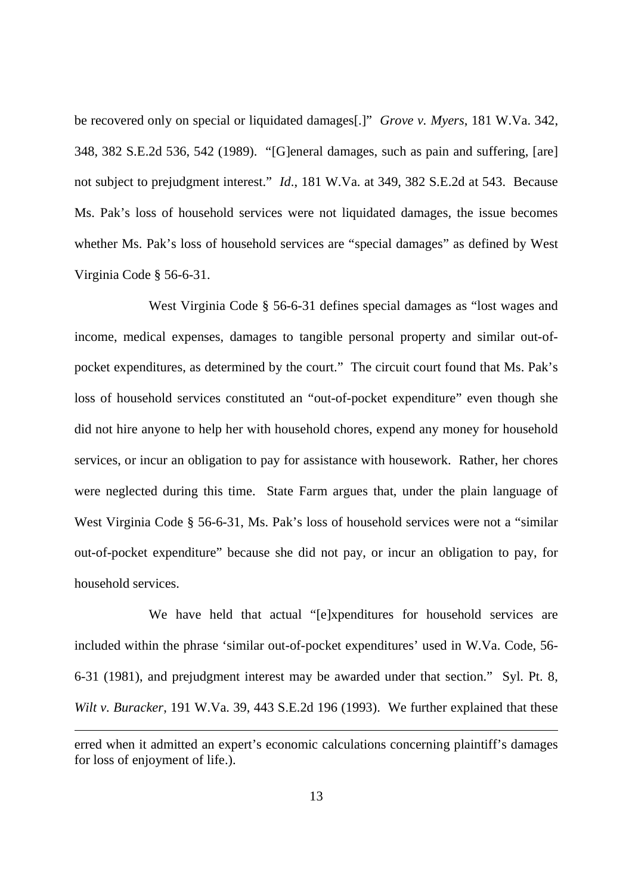be recovered only on special or liquidated damages[.]" *Grove v. Myers*, 181 W.Va. 342, 348, 382 S.E.2d 536, 542 (1989). "[G]eneral damages, such as pain and suffering, [are] not subject to prejudgment interest." *Id*., 181 W.Va. at 349, 382 S.E.2d at 543. Because Ms. Pak's loss of household services were not liquidated damages, the issue becomes whether Ms. Pak's loss of household services are "special damages" as defined by West Virginia Code § 56-6-31.

 West Virginia Code § 56-6-31 defines special damages as "lost wages and income, medical expenses, damages to tangible personal property and similar out-of- pocket expenditures, as determined by the court." The circuit court found that Ms. Pak's loss of household services constituted an "out-of-pocket expenditure" even though she did not hire anyone to help her with household chores, expend any money for household services, or incur an obligation to pay for assistance with housework. Rather, her chores were neglected during this time. State Farm argues that, under the plain language of West Virginia Code § 56-6-31, Ms. Pak's loss of household services were not a "similar out-of-pocket expenditure" because she did not pay, or incur an obligation to pay, for household services.

 We have held that actual "[e]xpenditures for household services are included within the phrase 'similar out-of-pocket expenditures' used in W.Va. Code, 56 6-31 (1981), and prejudgment interest may be awarded under that section." Syl. Pt. 8, Wilt v. Buracker, 191 W.Va. 39, 443 S.E.2d 196 (1993). We further explained that these

 erred when it admitted an expert's economic calculations concerning plaintiff's damages for loss of enjoyment of life.).